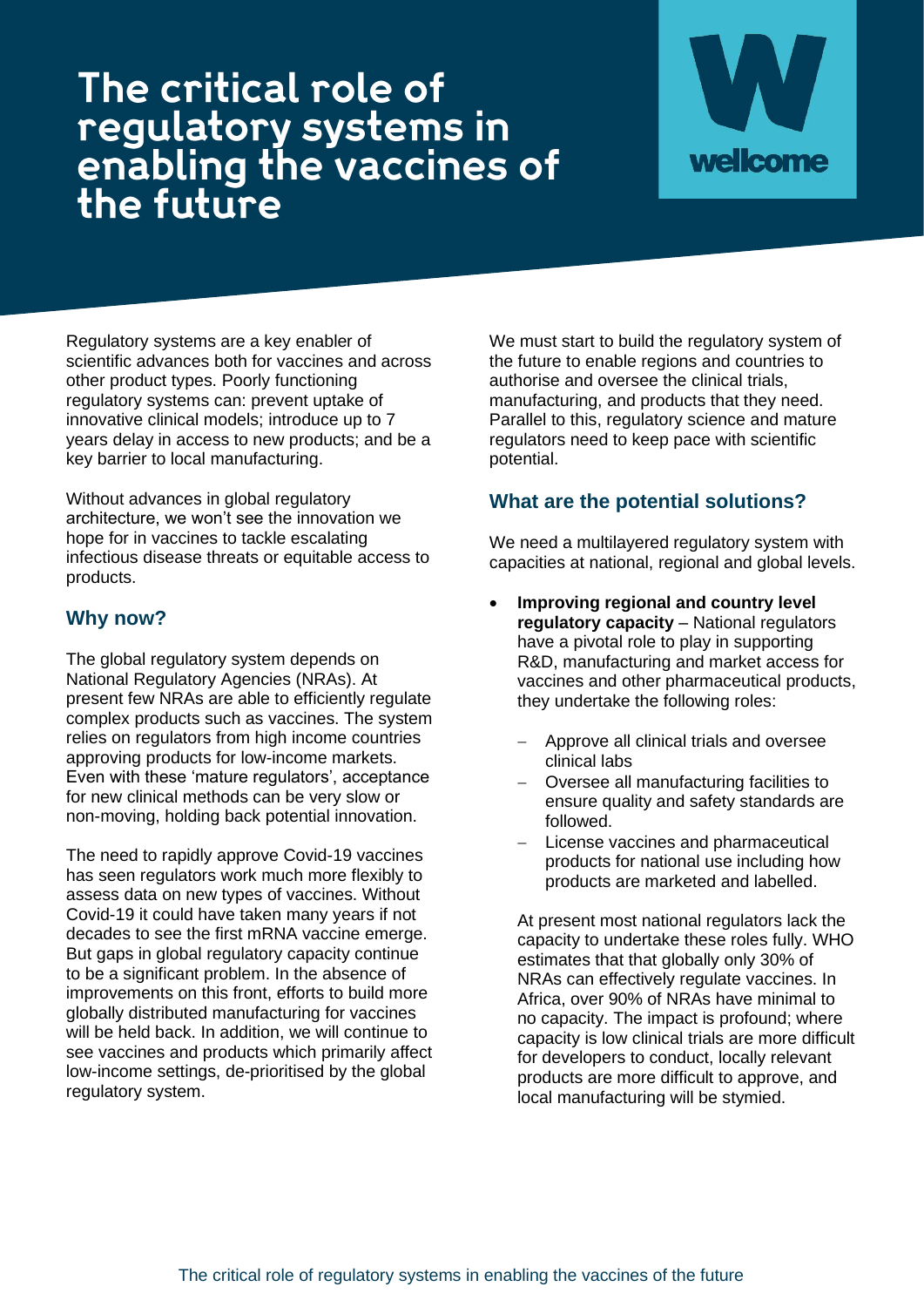## The critical role of regulatory systems in<br>enabling the vaccines of<br>the future



Regulatory systems are a key enabler of scientific advances both for vaccines and across other product types. Poorly functioning regulatory systems can: prevent uptake of innovative clinical models; introduce up to 7 years delay in access to new products; and be a key barrier to local manufacturing.

Without advances in global regulatory architecture, we won't see the innovation we hope for in vaccines to tackle escalating infectious disease threats or equitable access to products.

## **Why now?**

The global regulatory system depends on National Regulatory Agencies (NRAs). At present few NRAs are able to efficiently regulate complex products such as vaccines. The system relies on regulators from high income countries approving products for low-income markets. Even with these 'mature regulators', acceptance for new clinical methods can be very slow or non-moving, holding back potential innovation.

The need to rapidly approve Covid-19 vaccines has seen regulators work much more flexibly to assess data on new types of vaccines. Without Covid-19 it could have taken many years if not decades to see the first mRNA vaccine emerge. But gaps in global regulatory capacity continue to be a significant problem. In the absence of improvements on this front, efforts to build more globally distributed manufacturing for vaccines will be held back. In addition, we will continue to see vaccines and products which primarily affect low-income settings, de-prioritised by the global regulatory system.

We must start to build the regulatory system of the future to enable regions and countries to authorise and oversee the clinical trials, manufacturing, and products that they need. Parallel to this, regulatory science and mature regulators need to keep pace with scientific potential.

## **What are the potential solutions?**

We need a multilavered regulatory system with capacities at national, regional and global levels.

- **Improving regional and country level regulatory capacity** – National regulators have a pivotal role to play in supporting R&D, manufacturing and market access for vaccines and other pharmaceutical products, they undertake the following roles:
	- − Approve all clinical trials and oversee clinical labs
	- − Oversee all manufacturing facilities to ensure quality and safety standards are followed.
	- License vaccines and pharmaceutical products for national use including how products are marketed and labelled.

At present most national regulators lack the capacity to undertake these roles fully. WHO estimates that that globally only 30% of NRAs can effectively regulate vaccines. In Africa, over 90% of NRAs have minimal to no capacity. The impact is profound; where capacity is low clinical trials are more difficult for developers to conduct, locally relevant products are more difficult to approve, and local manufacturing will be stymied.